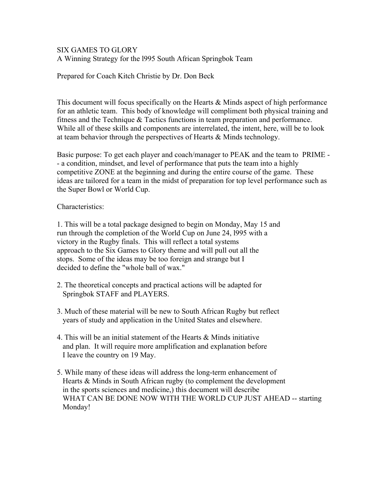# SIX GAMES TO GLORY A Winning Strategy for the l995 South African Springbok Team

# Prepared for Coach Kitch Christie by Dr. Don Beck

This document will focus specifically on the Hearts & Minds aspect of high performance for an athletic team. This body of knowledge will compliment both physical training and fitness and the Technique & Tactics functions in team preparation and performance. While all of these skills and components are interrelated, the intent, here, will be to look at team behavior through the perspectives of Hearts & Minds technology.

Basic purpose: To get each player and coach/manager to PEAK and the team to PRIME - - a condition, mindset, and level of performance that puts the team into a highly competitive ZONE at the beginning and during the entire course of the game. These ideas are tailored for a team in the midst of preparation for top level performance such as the Super Bowl or World Cup.

### Characteristics:

1. This will be a total package designed to begin on Monday, May 15 and run through the completion of the World Cup on June 24, l995 with a victory in the Rugby finals. This will reflect a total systems approach to the Six Games to Glory theme and will pull out all the stops. Some of the ideas may be too foreign and strange but I decided to define the "whole ball of wax."

- 2. The theoretical concepts and practical actions will be adapted for Springbok STAFF and PLAYERS.
- 3. Much of these material will be new to South African Rugby but reflect years of study and application in the United States and elsewhere.
- 4. This will be an initial statement of the Hearts & Minds initiative and plan. It will require more amplification and explanation before I leave the country on 19 May.
- 5. While many of these ideas will address the long-term enhancement of Hearts & Minds in South African rugby (to complement the development in the sports sciences and medicine,) this document will describe WHAT CAN BE DONE NOW WITH THE WORLD CUP JUST AHEAD -- starting Monday!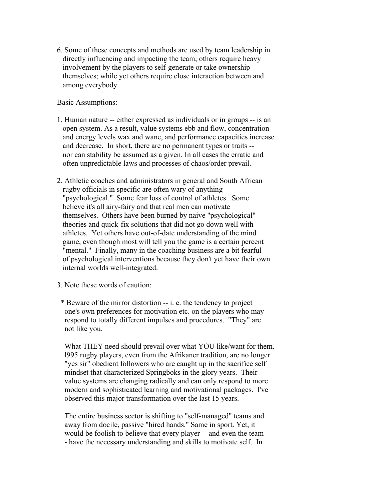6. Some of these concepts and methods are used by team leadership in directly influencing and impacting the team; others require heavy involvement by the players to self-generate or take ownership themselves; while yet others require close interaction between and among everybody.

Basic Assumptions:

- 1. Human nature -- either expressed as individuals or in groups -- is an open system. As a result, value systems ebb and flow, concentration and energy levels wax and wane, and performance capacities increase and decrease. In short, there are no permanent types or traits - nor can stability be assumed as a given. In all cases the erratic and often unpredictable laws and processes of chaos/order prevail.
- 2. Athletic coaches and administrators in general and South African rugby officials in specific are often wary of anything "psychological." Some fear loss of control of athletes. Some believe it's all airy-fairy and that real men can motivate themselves. Others have been burned by naive "psychological" theories and quick-fix solutions that did not go down well with athletes. Yet others have out-of-date understanding of the mind game, even though most will tell you the game is a certain percent "mental." Finally, many in the coaching business are a bit fearful of psychological interventions because they don't yet have their own internal worlds well-integrated.
- 3. Note these words of caution:
	- \* Beware of the mirror distortion -- i. e. the tendency to project one's own preferences for motivation etc. on the players who may respond to totally different impulses and procedures. "They" are not like you.

 What THEY need should prevail over what YOU like/want for them. l995 rugby players, even from the Afrikaner tradition, are no longer "yes sir" obedient followers who are caught up in the sacrifice self mindset that characterized Springboks in the glory years. Their value systems are changing radically and can only respond to more modern and sophisticated learning and motivational packages. I've observed this major transformation over the last 15 years.

 The entire business sector is shifting to "self-managed" teams and away from docile, passive "hired hands." Same in sport. Yet, it would be foolish to believe that every player -- and even the team - - have the necessary understanding and skills to motivate self. In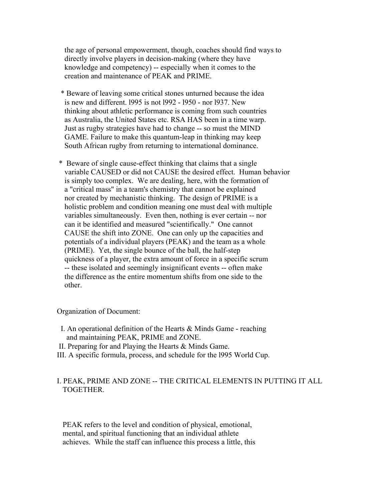the age of personal empowerment, though, coaches should find ways to directly involve players in decision-making (where they have knowledge and competency) -- especially when it comes to the creation and maintenance of PEAK and PRIME.

- \* Beware of leaving some critical stones unturned because the idea is new and different. l995 is not l992 - l950 - nor l937. New thinking about athletic performance is coming from such countries as Australia, the United States etc. RSA HAS been in a time warp. Just as rugby strategies have had to change -- so must the MIND GAME. Failure to make this quantum-leap in thinking may keep South African rugby from returning to international dominance.
- \* Beware of single cause-effect thinking that claims that a single variable CAUSED or did not CAUSE the desired effect. Human behavior is simply too complex. We are dealing, here, with the formation of a "critical mass" in a team's chemistry that cannot be explained nor created by mechanistic thinking. The design of PRIME is a holistic problem and condition meaning one must deal with multiple variables simultaneously. Even then, nothing is ever certain -- nor can it be identified and measured "scientifically." One cannot CAUSE the shift into ZONE. One can only up the capacities and potentials of a individual players (PEAK) and the team as a whole (PRIME). Yet, the single bounce of the ball, the half-step quickness of a player, the extra amount of force in a specific scrum -- these isolated and seemingly insignificant events -- often make the difference as the entire momentum shifts from one side to the other.

Organization of Document:

- I. An operational definition of the Hearts & Minds Game reaching and maintaining PEAK, PRIME and ZONE.
- II. Preparing for and Playing the Hearts & Minds Game.
- III. A specific formula, process, and schedule for the l995 World Cup.

#### I. PEAK, PRIME AND ZONE -- THE CRITICAL ELEMENTS IN PUTTING IT ALL TOGETHER.

 PEAK refers to the level and condition of physical, emotional, mental, and spiritual functioning that an individual athlete achieves. While the staff can influence this process a little, this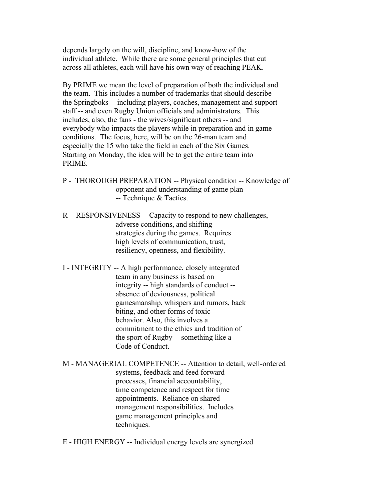depends largely on the will, discipline, and know-how of the individual athlete. While there are some general principles that cut across all athletes, each will have his own way of reaching PEAK.

 By PRIME we mean the level of preparation of both the individual and the team. This includes a number of trademarks that should describe the Springboks -- including players, coaches, management and support staff -- and even Rugby Union officials and administrators. This includes, also, the fans - the wives/significant others -- and everybody who impacts the players while in preparation and in game conditions. The focus, here, will be on the 26-man team and especially the 15 who take the field in each of the Six Games. Starting on Monday, the idea will be to get the entire team into PRIME.

- P THOROUGH PREPARATION -- Physical condition -- Knowledge of opponent and understanding of game plan -- Technique & Tactics.
- R RESPONSIVENESS -- Capacity to respond to new challenges, adverse conditions, and shifting strategies during the games. Requires high levels of communication, trust, resiliency, openness, and flexibility.
- I INTEGRITY -- A high performance, closely integrated team in any business is based on integrity -- high standards of conduct - absence of deviousness, political gamesmanship, whispers and rumors, back biting, and other forms of toxic behavior. Also, this involves a commitment to the ethics and tradition of the sport of Rugby -- something like a Code of Conduct.
- M MANAGERIAL COMPETENCE -- Attention to detail, well-ordered systems, feedback and feed forward processes, financial accountability, time competence and respect for time appointments. Reliance on shared management responsibilities. Includes game management principles and techniques.
- E HIGH ENERGY -- Individual energy levels are synergized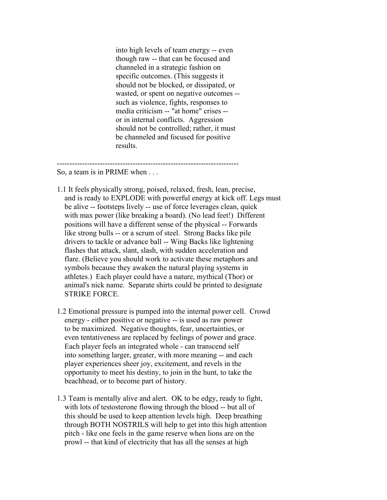into high levels of team energy -- even though raw -- that can be focused and channeled in a strategic fashion on specific outcomes. (This suggests it should not be blocked, or dissipated, or wasted, or spent on negative outcomes - such as violence, fights, responses to media criticism -- "at home" crises - or in internal conflicts. Aggression should not be controlled; rather, it must be channeled and focused for positive results.

------------------------------------------------------------------------ So, a team is in PRIME when . . .

- 1.1 It feels physically strong, poised, relaxed, fresh, lean, precise, and is ready to EXPLODE with powerful energy at kick off. Legs must be alive -- footsteps lively -- use of force leverages clean, quick with max power (like breaking a board). (No lead feet!) Different positions will have a different sense of the physical -- Forwards like strong bulls -- or a scrum of steel. Strong Backs like pile drivers to tackle or advance ball -- Wing Backs like lightening flashes that attack, slant, slash, with sudden acceleration and flare. (Believe you should work to activate these metaphors and symbols because they awaken the natural playing systems in athletes.) Each player could have a nature, mythical (Thor) or animal's nick name. Separate shirts could be printed to designate STRIKE FORCE.
- 1.2 Emotional pressure is pumped into the internal power cell. Crowd energy - either positive or negative -- is used as raw power to be maximized. Negative thoughts, fear, uncertainties, or even tentativeness are replaced by feelings of power and grace. Each player feels an integrated whole - can transcend self into something larger, greater, with more meaning -- and each player experiences sheer joy, excitement, and revels in the opportunity to meet his destiny, to join in the hunt, to take the beachhead, or to become part of history.
- 1.3 Team is mentally alive and alert. OK to be edgy, ready to fight, with lots of testosterone flowing through the blood -- but all of this should be used to keep attention levels high. Deep breathing through BOTH NOSTRILS will help to get into this high attention pitch - like one feels in the game reserve when lions are on the prowl -- that kind of electricity that has all the senses at high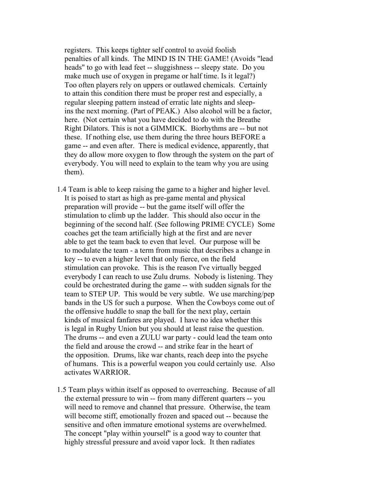registers. This keeps tighter self control to avoid foolish penalties of all kinds. The MIND IS IN THE GAME! (Avoids "lead heads" to go with lead feet -- sluggishness -- sleepy state. Do you make much use of oxygen in pregame or half time. Is it legal?) Too often players rely on uppers or outlawed chemicals. Certainly to attain this condition there must be proper rest and especially, a regular sleeping pattern instead of erratic late nights and sleep ins the next morning. (Part of PEAK.) Also alcohol will be a factor, here. (Not certain what you have decided to do with the Breathe Right Dilators. This is not a GIMMICK. Biorhythms are -- but not these. If nothing else, use them during the three hours BEFORE a game -- and even after. There is medical evidence, apparently, that they do allow more oxygen to flow through the system on the part of everybody. You will need to explain to the team why you are using them).

- 1.4 Team is able to keep raising the game to a higher and higher level. It is poised to start as high as pre-game mental and physical preparation will provide -- but the game itself will offer the stimulation to climb up the ladder. This should also occur in the beginning of the second half. (See following PRIME CYCLE) Some coaches get the team artificially high at the first and are never able to get the team back to even that level. Our purpose will be to modulate the team - a term from music that describes a change in key -- to even a higher level that only fierce, on the field stimulation can provoke. This is the reason I've virtually begged everybody I can reach to use Zulu drums. Nobody is listening. They could be orchestrated during the game -- with sudden signals for the team to STEP UP. This would be very subtle. We use marching/pep bands in the US for such a purpose. When the Cowboys come out of the offensive huddle to snap the ball for the next play, certain kinds of musical fanfares are played. I have no idea whether this is legal in Rugby Union but you should at least raise the question. The drums -- and even a ZULU war party - could lead the team onto the field and arouse the crowd -- and strike fear in the heart of the opposition. Drums, like war chants, reach deep into the psyche of humans. This is a powerful weapon you could certainly use. Also activates WARRIOR.
- 1.5 Team plays within itself as opposed to overreaching. Because of all the external pressure to win -- from many different quarters -- you will need to remove and channel that pressure. Otherwise, the team will become stiff, emotionally frozen and spaced out -- because the sensitive and often immature emotional systems are overwhelmed. The concept "play within yourself" is a good way to counter that highly stressful pressure and avoid vapor lock. It then radiates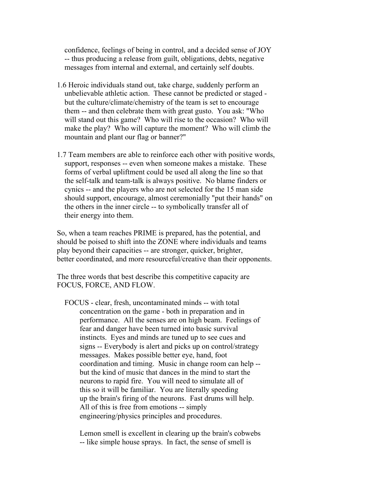confidence, feelings of being in control, and a decided sense of JOY -- thus producing a release from guilt, obligations, debts, negative messages from internal and external, and certainly self doubts.

- 1.6 Heroic individuals stand out, take charge, suddenly perform an unbelievable athletic action. These cannot be predicted or staged but the culture/climate/chemistry of the team is set to encourage them -- and then celebrate them with great gusto. You ask: "Who will stand out this game? Who will rise to the occasion? Who will make the play? Who will capture the moment? Who will climb the mountain and plant our flag or banner?"
- 1.7 Team members are able to reinforce each other with positive words, support, responses -- even when someone makes a mistake. These forms of verbal upliftment could be used all along the line so that the self-talk and team-talk is always positive. No blame finders or cynics -- and the players who are not selected for the 15 man side should support, encourage, almost ceremonially "put their hands" on the others in the inner circle -- to symbolically transfer all of their energy into them.

So, when a team reaches PRIME is prepared, has the potential, and should be poised to shift into the ZONE where individuals and teams play beyond their capacities -- are stronger, quicker, brighter, better coordinated, and more resourceful/creative than their opponents.

The three words that best describe this competitive capacity are FOCUS, FORCE, AND FLOW.

 FOCUS - clear, fresh, uncontaminated minds -- with total concentration on the game - both in preparation and in performance. All the senses are on high beam. Feelings of fear and danger have been turned into basic survival instincts. Eyes and minds are tuned up to see cues and signs -- Everybody is alert and picks up on control/strategy messages. Makes possible better eye, hand, foot coordination and timing. Music in change room can help - but the kind of music that dances in the mind to start the neurons to rapid fire. You will need to simulate all of this so it will be familiar. You are literally speeding up the brain's firing of the neurons. Fast drums will help. All of this is free from emotions -- simply engineering/physics principles and procedures.

 Lemon smell is excellent in clearing up the brain's cobwebs -- like simple house sprays. In fact, the sense of smell is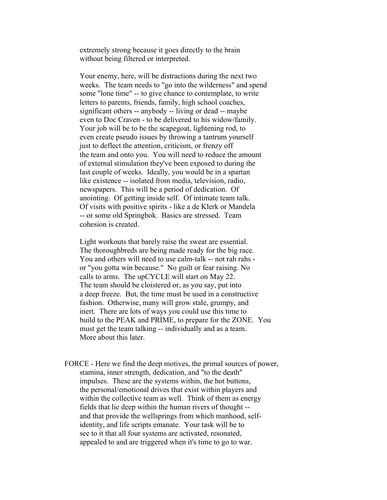extremely strong because it goes directly to the brain without being filtered or interpreted.

 Your enemy, here, will be distractions during the next two weeks. The team needs to "go into the wilderness" and spend some "lone time" -- to give chance to contemplate, to write letters to parents, friends, family, high school coaches, significant others -- anybody -- living or dead -- maybe even to Doc Craven - to be delivered to his widow/family. Your job will be to be the scapegoat, lightening rod, to even create pseudo issues by throwing a tantrum yourself just to deflect the attention, criticism, or frenzy off the team and onto you. You will need to reduce the amount of external stimulation they've been exposed to during the last couple of weeks. Ideally, you would be in a spartan like existence -- isolated from media, television, radio, newspapers. This will be a period of dedication. Of anointing. Of getting inside self. Of intimate team talk. Of visits with positive spirits - like a de Klerk or Mandela -- or some old Springbok. Basics are stressed. Team cohesion is created.

 Light workouts that barely raise the sweat are essential. The thoroughbreds are being made ready for the big race. You and others will need to use calm-talk -- not rah rahs or "you gotta win because." No guilt or fear raising. No calls to arms. The upCYCLE will start on May 22. The team should be cloistered or, as you say, put into a deep freeze. But, the time must be used in a constructive fashion. Otherwise, many will grow stale, grumpy, and inert. There are lots of ways you could use this time to build to the PEAK and PRIME, to prepare for the ZONE. You must get the team talking -- individually and as a team. More about this later.

 FORCE - Here we find the deep motives, the primal sources of power, stamina, inner strength, dedication, and "to the death" impulses. These are the systems within, the hot buttons, the personal/emotional drives that exist within players and within the collective team as well. Think of them as energy fields that lie deep within the human rivers of thought - and that provide the wellsprings from which manhood, self identity, and life scripts emanate. Your task will be to see to it that all four systems are activated, resonated, appealed to and are triggered when it's time to go to war.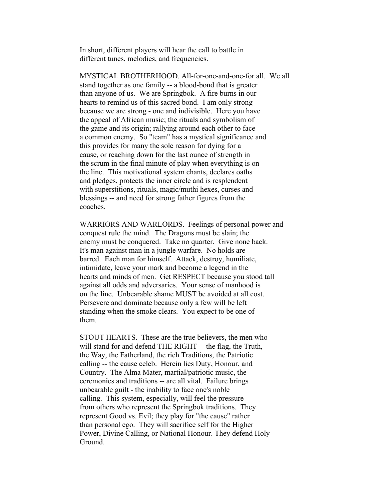In short, different players will hear the call to battle in different tunes, melodies, and frequencies.

 MYSTICAL BROTHERHOOD. All-for-one-and-one-for all. We all stand together as one family -- a blood-bond that is greater than anyone of us. We are Springbok. A fire burns in our hearts to remind us of this sacred bond. I am only strong because we are strong - one and indivisible. Here you have the appeal of African music; the rituals and symbolism of the game and its origin; rallying around each other to face a common enemy. So "team" has a mystical significance and this provides for many the sole reason for dying for a cause, or reaching down for the last ounce of strength in the scrum in the final minute of play when everything is on the line. This motivational system chants, declares oaths and pledges, protects the inner circle and is resplendent with superstitions, rituals, magic/muthi hexes, curses and blessings -- and need for strong father figures from the coaches.

 WARRIORS AND WARLORDS. Feelings of personal power and conquest rule the mind. The Dragons must be slain; the enemy must be conquered. Take no quarter. Give none back. It's man against man in a jungle warfare. No holds are barred. Each man for himself. Attack, destroy, humiliate, intimidate, leave your mark and become a legend in the hearts and minds of men. Get RESPECT because you stood tall against all odds and adversaries. Your sense of manhood is on the line. Unbearable shame MUST be avoided at all cost. Persevere and dominate because only a few will be left standing when the smoke clears. You expect to be one of them.

 STOUT HEARTS. These are the true believers, the men who will stand for and defend THE RIGHT -- the flag, the Truth, the Way, the Fatherland, the rich Traditions, the Patriotic calling -- the cause celeb. Herein lies Duty, Honour, and Country. The Alma Mater, martial/patriotic music, the ceremonies and traditions -- are all vital. Failure brings unbearable guilt - the inability to face one's noble calling. This system, especially, will feel the pressure from others who represent the Springbok traditions. They represent Good vs. Evil; they play for "the cause" rather than personal ego. They will sacrifice self for the Higher Power, Divine Calling, or National Honour. They defend Holy Ground.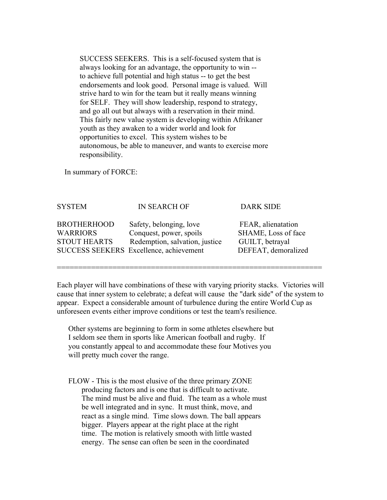SUCCESS SEEKERS. This is a self-focused system that is always looking for an advantage, the opportunity to win - to achieve full potential and high status -- to get the best endorsements and look good. Personal image is valued. Will strive hard to win for the team but it really means winning for SELF. They will show leadership, respond to strategy, and go all out but always with a reservation in their mind. This fairly new value system is developing within Afrikaner youth as they awaken to a wider world and look for opportunities to excel. This system wishes to be autonomous, be able to maneuver, and wants to exercise more responsibility.

In summary of FORCE:

| <b>SYSTEM</b>                                                | <b>IN SEARCH OF</b>                                                                                                                    | <b>DARK SIDE</b>                                                                    |
|--------------------------------------------------------------|----------------------------------------------------------------------------------------------------------------------------------------|-------------------------------------------------------------------------------------|
| <b>BROTHERHOOD</b><br><b>WARRIORS</b><br><b>STOUT HEARTS</b> | Safety, belonging, love<br>Conquest, power, spoils<br>Redemption, salvation, justice<br><b>SUCCESS SEEKERS Excellence, achievement</b> | FEAR, alienatation<br>SHAME, Loss of face<br>GUILT, betrayal<br>DEFEAT, demoralized |
|                                                              |                                                                                                                                        |                                                                                     |

Each player will have combinations of these with varying priority stacks. Victories will cause that inner system to celebrate; a defeat will cause the "dark side" of the system to appear. Expect a considerable amount of turbulence during the entire World Cup as unforeseen events either improve conditions or test the team's resilience.

 Other systems are beginning to form in some athletes elsewhere but I seldom see them in sports like American football and rugby. If you constantly appeal to and accommodate these four Motives you will pretty much cover the range.

 FLOW - This is the most elusive of the three primary ZONE producing factors and is one that is difficult to activate. The mind must be alive and fluid. The team as a whole must be well integrated and in sync. It must think, move, and react as a single mind. Time slows down. The ball appears bigger. Players appear at the right place at the right time. The motion is relatively smooth with little wasted energy. The sense can often be seen in the coordinated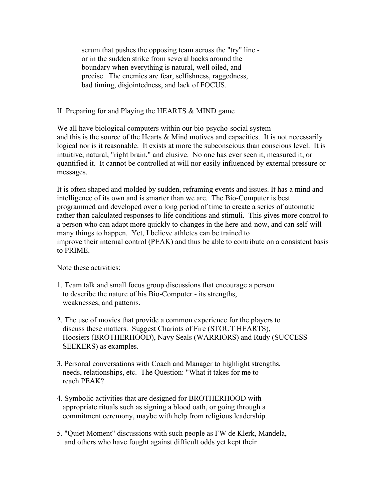scrum that pushes the opposing team across the "try" line or in the sudden strike from several backs around the boundary when everything is natural, well oiled, and precise. The enemies are fear, selfishness, raggedness, bad timing, disjointedness, and lack of FOCUS.

### II. Preparing for and Playing the HEARTS & MIND game

We all have biological computers within our bio-psycho-social system and this is the source of the Hearts & Mind motives and capacities. It is not necessarily logical nor is it reasonable. It exists at more the subconscious than conscious level. It is intuitive, natural, "right brain," and elusive. No one has ever seen it, measured it, or quantified it. It cannot be controlled at will nor easily influenced by external pressure or messages.

It is often shaped and molded by sudden, reframing events and issues. It has a mind and intelligence of its own and is smarter than we are. The Bio-Computer is best programmed and developed over a long period of time to create a series of automatic rather than calculated responses to life conditions and stimuli. This gives more control to a person who can adapt more quickly to changes in the here-and-now, and can self-will many things to happen. Yet, I believe athletes can be trained to improve their internal control (PEAK) and thus be able to contribute on a consistent basis to PRIME.

Note these activities:

- 1. Team talk and small focus group discussions that encourage a person to describe the nature of his Bio-Computer - its strengths, weaknesses, and patterns.
- 2. The use of movies that provide a common experience for the players to discuss these matters. Suggest Chariots of Fire (STOUT HEARTS), Hoosiers (BROTHERHOOD), Navy Seals (WARRIORS) and Rudy (SUCCESS SEEKERS) as examples.
- 3. Personal conversations with Coach and Manager to highlight strengths, needs, relationships, etc. The Question: "What it takes for me to reach PEAK?
- 4. Symbolic activities that are designed for BROTHERHOOD with appropriate rituals such as signing a blood oath, or going through a commitment ceremony, maybe with help from religious leadership.
- 5. "Quiet Moment" discussions with such people as FW de Klerk, Mandela, and others who have fought against difficult odds yet kept their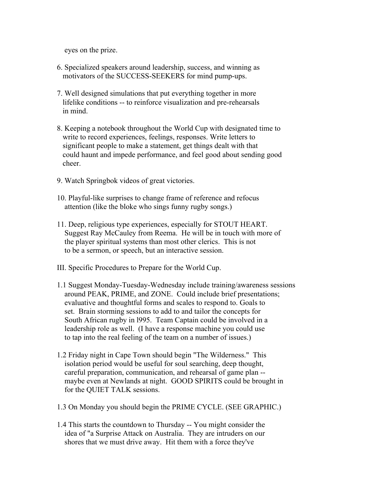eyes on the prize.

- 6. Specialized speakers around leadership, success, and winning as motivators of the SUCCESS-SEEKERS for mind pump-ups.
- 7. Well designed simulations that put everything together in more lifelike conditions -- to reinforce visualization and pre-rehearsals in mind.
- 8. Keeping a notebook throughout the World Cup with designated time to write to record experiences, feelings, responses. Write letters to significant people to make a statement, get things dealt with that could haunt and impede performance, and feel good about sending good cheer.
- 9. Watch Springbok videos of great victories.
- 10. Playful-like surprises to change frame of reference and refocus attention (like the bloke who sings funny rugby songs.)
- 11. Deep, religious type experiences, especially for STOUT HEART. Suggest Ray McCauley from Reema. He will be in touch with more of the player spiritual systems than most other clerics. This is not to be a sermon, or speech, but an interactive session.
- III. Specific Procedures to Prepare for the World Cup.
- 1.1 Suggest Monday-Tuesday-Wednesday include training/awareness sessions around PEAK, PRIME, and ZONE. Could include brief presentations; evaluative and thoughtful forms and scales to respond to. Goals to set. Brain storming sessions to add to and tailor the concepts for South African rugby in l995. Team Captain could be involved in a leadership role as well. (I have a response machine you could use to tap into the real feeling of the team on a number of issues.)
- 1.2 Friday night in Cape Town should begin "The Wilderness." This isolation period would be useful for soul searching, deep thought, careful preparation, communication, and rehearsal of game plan - maybe even at Newlands at night. GOOD SPIRITS could be brought in for the QUIET TALK sessions.
- 1.3 On Monday you should begin the PRIME CYCLE. (SEE GRAPHIC.)
- 1.4 This starts the countdown to Thursday -- You might consider the idea of "a Surprise Attack on Australia. They are intruders on our shores that we must drive away. Hit them with a force they've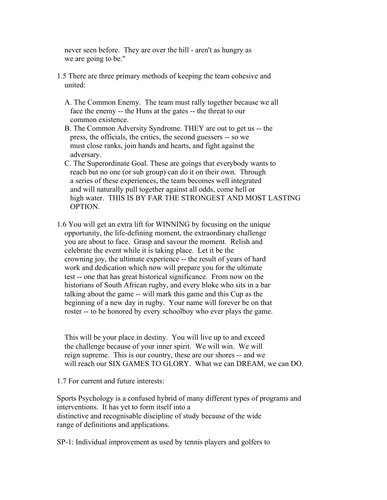never seen before. They are over the hill - aren't as hungry as we are going to be."

- 1.5 There are three primary methods of keeping the team cohesive and united:
	- A. The Common Enemy. The team must rally together because we all face the enemy -- the Huns at the gates -- the threat to our common existence.
	- B. The Common Adversity Syndrome. THEY are out to get us -- the press, the officials, the critics, the second guessers -- so we must close ranks, join hands and hearts, and fight against the adversary.
	- C. The Superordinate Goal. These are goings that everybody wants to reach but no one (or sub group) can do it on their own. Through a series of these experiences, the team becomes well integrated and will naturally pull together against all odds, come hell or high water. THIS IS BY FAR THE STRONGEST AND MOST LASTING OPTION.
- 1.6 You will get an extra lift for WINNING by focusing on the unique opportunity, the life-defining moment, the extraordinary challenge you are about to face. Grasp and savour the moment. Relish and celebrate the event while it is taking place. Let it be the crowning joy, the ultimate experience -- the result of years of hard work and dedication which now will prepare you for the ultimate test -- one that has great historical significance. From now on the historians of South African rugby, and every bloke who sits in a bar talking about the game -- will mark this game and this Cup as the beginning of a new day in rugby. Your name will forever be on that roster -- to be honored by every schoolboy who ever plays the game.

 This will be your place in destiny. You will live up to and exceed the challenge because of your inner spirit. We will win. We will reign supreme. This is our country, these are our shores -- and we will reach our SIX GAMES TO GLORY. What we can DREAM, we can DO.

1.7 For current and future interests:

Sports Psychology is a confused hybrid of many different types of programs and interventions. It has yet to form itself into a distinctive and recognisable discipline of study because of the wide range of definitions and applications.

SP-1: Individual improvement as used by tennis players and golfers to